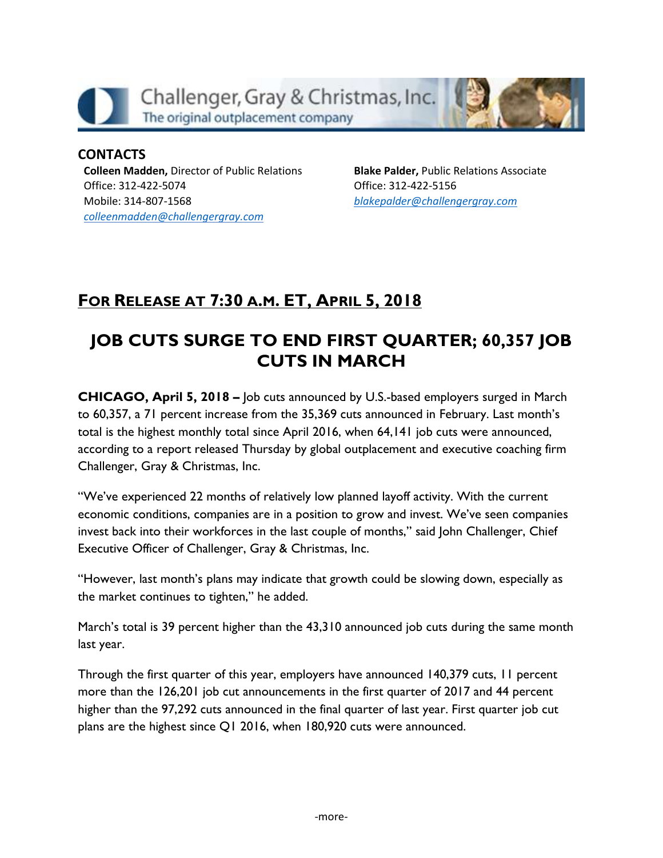

**CONTACTS Colleen Madden,** Director of Public Relations Office: 312-422-5074 Mobile: 314-807-1568 *[colleenmadden@challengergray.com](mailto:colleenmadden@challengergray.com)*

**Blake Palder,** Public Relations Associate Office: 312-422-5156 *[blakepalder@challengergray.com](mailto:blakepalder@challengergray.com)*

# **FOR RELEASE AT 7:30 A.M. ET, APRIL 5, 2018**

# **JOB CUTS SURGE TO END FIRST QUARTER; 60,357 JOB CUTS IN MARCH**

**CHICAGO, April 5, 2018 –** Job cuts announced by U.S.-based employers surged in March to 60,357, a 71 percent increase from the 35,369 cuts announced in February. Last month's total is the highest monthly total since April 2016, when 64,141 job cuts were announced, according to a report released Thursday by global outplacement and executive coaching firm Challenger, Gray & Christmas, Inc.

"We've experienced 22 months of relatively low planned layoff activity. With the current economic conditions, companies are in a position to grow and invest. We've seen companies invest back into their workforces in the last couple of months," said John Challenger, Chief Executive Officer of Challenger, Gray & Christmas, Inc.

"However, last month's plans may indicate that growth could be slowing down, especially as the market continues to tighten," he added.

March's total is 39 percent higher than the 43,310 announced job cuts during the same month last year.

Through the first quarter of this year, employers have announced 140,379 cuts, 11 percent more than the 126,201 job cut announcements in the first quarter of 2017 and 44 percent higher than the 97,292 cuts announced in the final quarter of last year. First quarter job cut plans are the highest since Q1 2016, when 180,920 cuts were announced.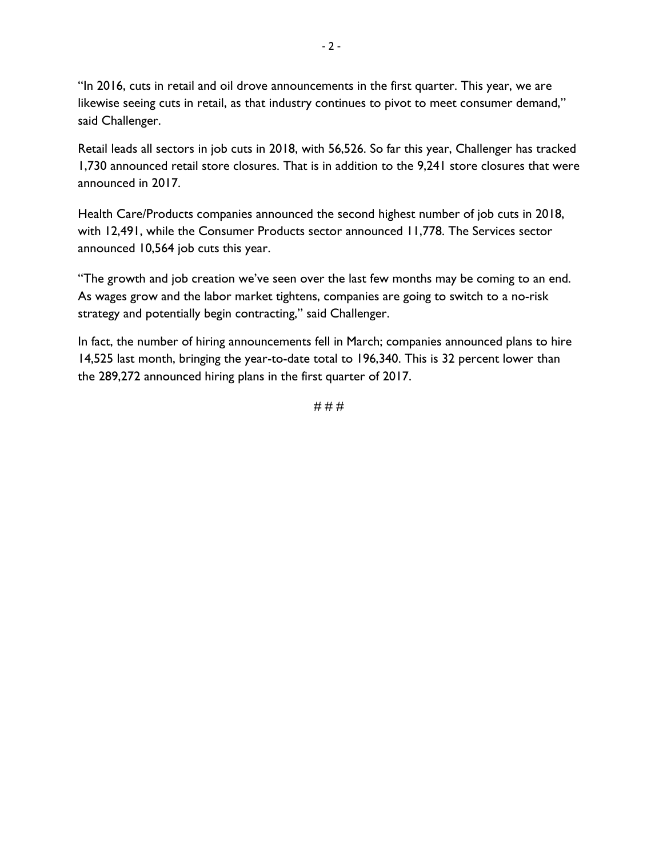"In 2016, cuts in retail and oil drove announcements in the first quarter. This year, we are likewise seeing cuts in retail, as that industry continues to pivot to meet consumer demand," said Challenger.

Retail leads all sectors in job cuts in 2018, with 56,526. So far this year, Challenger has tracked 1,730 announced retail store closures. That is in addition to the 9,241 store closures that were announced in 2017.

Health Care/Products companies announced the second highest number of job cuts in 2018, with 12,491, while the Consumer Products sector announced 11,778. The Services sector announced 10,564 job cuts this year.

"The growth and job creation we've seen over the last few months may be coming to an end. As wages grow and the labor market tightens, companies are going to switch to a no-risk strategy and potentially begin contracting," said Challenger.

In fact, the number of hiring announcements fell in March; companies announced plans to hire 14,525 last month, bringing the year-to-date total to 196,340. This is 32 percent lower than the 289,272 announced hiring plans in the first quarter of 2017.

# # #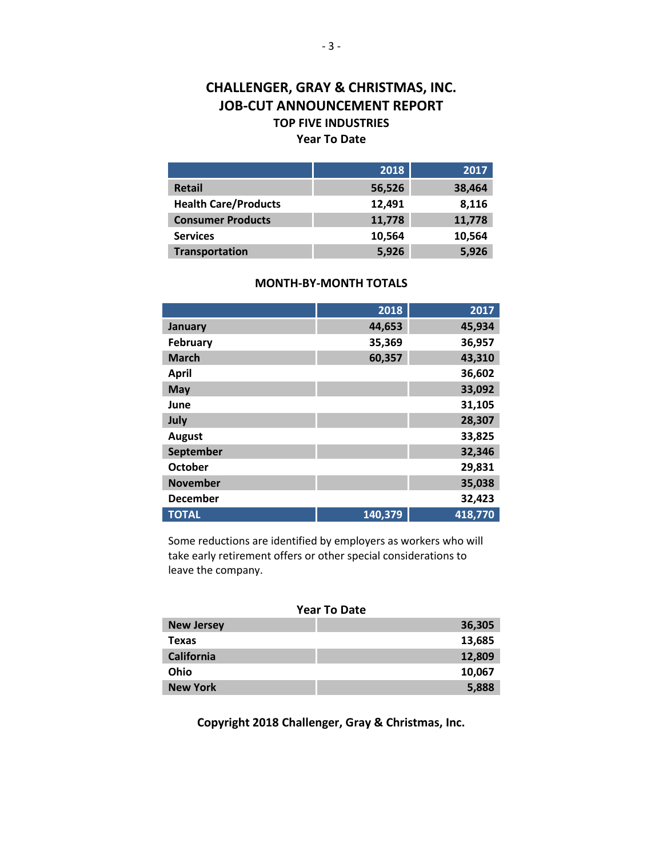#### **CHALLENGER, GRAY & CHRISTMAS, INC. JOB-CUT ANNOUNCEMENT REPORT TOP FIVE INDUSTRIES Year To Date**

|                             | 2018   | 2017   |
|-----------------------------|--------|--------|
| <b>Retail</b>               | 56,526 | 38,464 |
| <b>Health Care/Products</b> | 12,491 | 8,116  |
| <b>Consumer Products</b>    | 11,778 | 11,778 |
| <b>Services</b>             | 10,564 | 10,564 |
| <b>Transportation</b>       | 5,926  | 5,926  |

#### **MONTH-BY-MONTH TOTALS**

|                 | 2018    | 2017    |
|-----------------|---------|---------|
| January         | 44,653  | 45,934  |
| February        | 35,369  | 36,957  |
| <b>March</b>    | 60,357  | 43,310  |
| <b>April</b>    |         | 36,602  |
| <b>May</b>      |         | 33,092  |
| June            |         | 31,105  |
| July            |         | 28,307  |
| <b>August</b>   |         | 33,825  |
| September       |         | 32,346  |
| <b>October</b>  |         | 29,831  |
| <b>November</b> |         | 35,038  |
| <b>December</b> |         | 32,423  |
| <b>TOTAL</b>    | 140,379 | 418,770 |

Some reductions are identified by employers as workers who will take early retirement offers or other special considerations to leave the company.

| <b>Year To Date</b> |        |  |  |
|---------------------|--------|--|--|
| <b>New Jersey</b>   | 36,305 |  |  |
| <b>Texas</b>        | 13,685 |  |  |
| <b>California</b>   | 12,809 |  |  |
| Ohio                | 10,067 |  |  |
| <b>New York</b>     | 5,888  |  |  |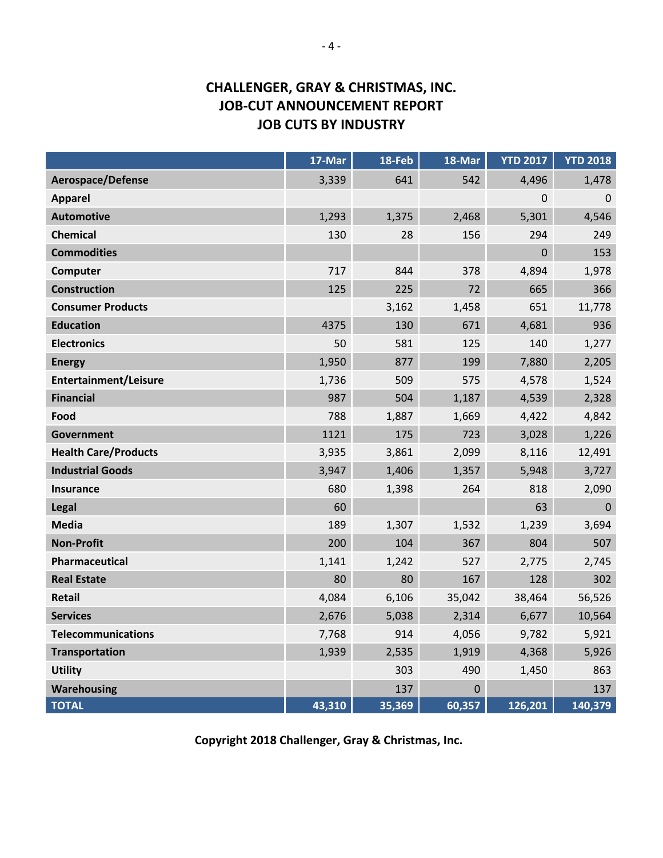# **CHALLENGER, GRAY & CHRISTMAS, INC. JOB-CUT ANNOUNCEMENT REPORT JOB CUTS BY INDUSTRY**

|                             | 17-Mar | 18-Feb | 18-Mar   | <b>YTD 2017</b> | <b>YTD 2018</b> |
|-----------------------------|--------|--------|----------|-----------------|-----------------|
| <b>Aerospace/Defense</b>    | 3,339  | 641    | 542      | 4,496           | 1,478           |
| <b>Apparel</b>              |        |        |          | 0               | $\mathbf 0$     |
| <b>Automotive</b>           | 1,293  | 1,375  | 2,468    | 5,301           | 4,546           |
| <b>Chemical</b>             | 130    | 28     | 156      | 294             | 249             |
| <b>Commodities</b>          |        |        |          | $\mathbf 0$     | 153             |
| Computer                    | 717    | 844    | 378      | 4,894           | 1,978           |
| <b>Construction</b>         | 125    | 225    | 72       | 665             | 366             |
| <b>Consumer Products</b>    |        | 3,162  | 1,458    | 651             | 11,778          |
| <b>Education</b>            | 4375   | 130    | 671      | 4,681           | 936             |
| <b>Electronics</b>          | 50     | 581    | 125      | 140             | 1,277           |
| <b>Energy</b>               | 1,950  | 877    | 199      | 7,880           | 2,205           |
| Entertainment/Leisure       | 1,736  | 509    | 575      | 4,578           | 1,524           |
| <b>Financial</b>            | 987    | 504    | 1,187    | 4,539           | 2,328           |
| Food                        | 788    | 1,887  | 1,669    | 4,422           | 4,842           |
| <b>Government</b>           | 1121   | 175    | 723      | 3,028           | 1,226           |
| <b>Health Care/Products</b> | 3,935  | 3,861  | 2,099    | 8,116           | 12,491          |
| <b>Industrial Goods</b>     | 3,947  | 1,406  | 1,357    | 5,948           | 3,727           |
| <b>Insurance</b>            | 680    | 1,398  | 264      | 818             | 2,090           |
| Legal                       | 60     |        |          | 63              | $\mathbf 0$     |
| <b>Media</b>                | 189    | 1,307  | 1,532    | 1,239           | 3,694           |
| <b>Non-Profit</b>           | 200    | 104    | 367      | 804             | 507             |
| Pharmaceutical              | 1,141  | 1,242  | 527      | 2,775           | 2,745           |
| <b>Real Estate</b>          | 80     | 80     | 167      | 128             | 302             |
| <b>Retail</b>               | 4,084  | 6,106  | 35,042   | 38,464          | 56,526          |
| <b>Services</b>             | 2,676  | 5,038  | 2,314    | 6,677           | 10,564          |
| <b>Telecommunications</b>   | 7,768  | 914    | 4,056    | 9,782           | 5,921           |
| <b>Transportation</b>       | 1,939  | 2,535  | 1,919    | 4,368           | 5,926           |
| <b>Utility</b>              |        | 303    | 490      | 1,450           | 863             |
| <b>Warehousing</b>          |        | 137    | $\Omega$ |                 | 137             |
| <b>TOTAL</b>                | 43,310 | 35,369 | 60,357   | 126,201         | 140,379         |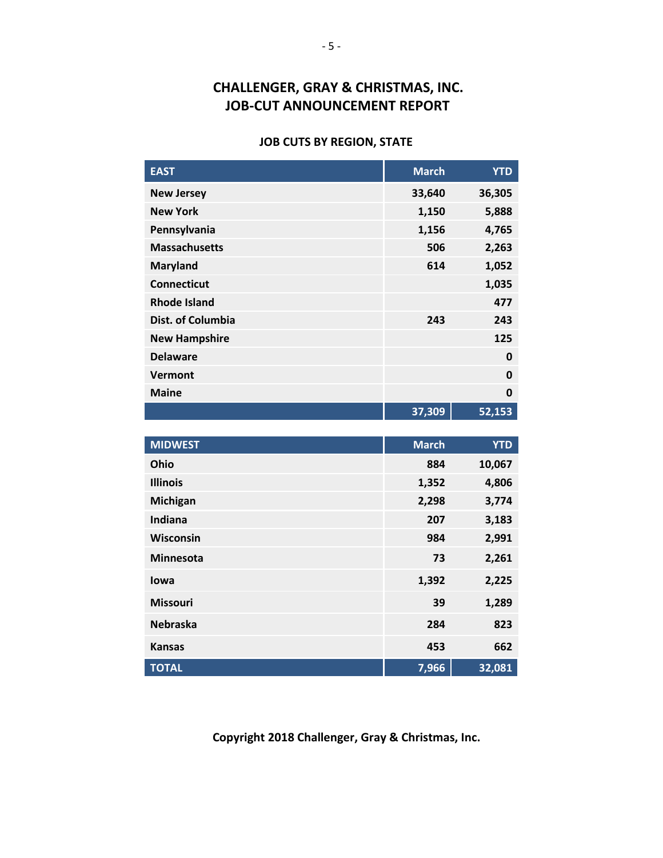## **CHALLENGER, GRAY & CHRISTMAS, INC. JOB-CUT ANNOUNCEMENT REPORT**

#### **JOB CUTS BY REGION, STATE**

| 36,305<br>5,888<br>4,765 |
|--------------------------|
|                          |
|                          |
|                          |
| 2,263                    |
| 1,052                    |
| 1,035                    |
| 477                      |
| 243                      |
| 125                      |
| $\Omega$                 |
| $\mathbf 0$              |
| $\bf{0}$                 |
| 52,153                   |
|                          |

| <b>MIDWEST</b>   | <b>March</b> | <b>YTD</b> |
|------------------|--------------|------------|
| Ohio             | 884          | 10,067     |
| <b>Illinois</b>  | 1,352        | 4,806      |
| Michigan         | 2,298        | 3,774      |
| <b>Indiana</b>   | 207          | 3,183      |
| <b>Wisconsin</b> | 984          | 2,991      |
| <b>Minnesota</b> | 73           | 2,261      |
| lowa             | 1,392        | 2,225      |
| <b>Missouri</b>  | 39           | 1,289      |
| <b>Nebraska</b>  | 284          | 823        |
| <b>Kansas</b>    | 453          | 662        |
| <b>TOTAL</b>     | 7,966        | 32,081     |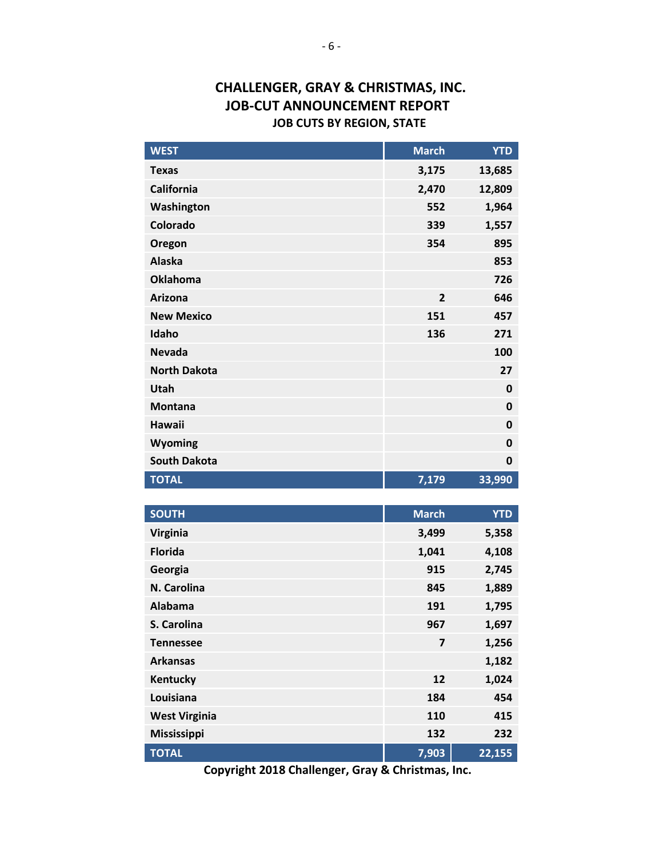#### **CHALLENGER, GRAY & CHRISTMAS, INC. JOB-CUT ANNOUNCEMENT REPORT JOB CUTS BY REGION, STATE**

| <b>WEST</b>         | <b>March</b>   | <b>YTD</b>  |
|---------------------|----------------|-------------|
| <b>Texas</b>        | 3,175          | 13,685      |
| <b>California</b>   | 2,470          | 12,809      |
| Washington          | 552            | 1,964       |
| Colorado            | 339            | 1,557       |
| Oregon              | 354            | 895         |
| <b>Alaska</b>       |                | 853         |
| <b>Oklahoma</b>     |                | 726         |
| <b>Arizona</b>      | $\overline{2}$ | 646         |
| <b>New Mexico</b>   | 151            | 457         |
| Idaho               | 136            | 271         |
| <b>Nevada</b>       |                | 100         |
| <b>North Dakota</b> |                | 27          |
| Utah                |                | 0           |
| <b>Montana</b>      |                | $\mathbf 0$ |
| <b>Hawaii</b>       |                | $\mathbf 0$ |
| <b>Wyoming</b>      |                | $\mathbf 0$ |
| <b>South Dakota</b> |                | $\mathbf 0$ |
| <b>TOTAL</b>        | 7,179          | 33,990      |
|                     |                |             |
| <b>SOUTH</b>        | <b>March</b>   | <b>YTD</b>  |
| <b>Virginia</b>     | 3,499          | 5,358       |
| <b>Florida</b>      | 1,041          | 4,108       |
| Georgia             | 915            | 2,745       |
| N. Carolina         | 845            | 1,889       |

**TOTAL 7,903 22,155 Copyright 2018 Challenger, Gray & Christmas, Inc.**

**Alabama 191 1,795 S. Carolina 967 1,697 Tennessee 7 1,256 Arkansas 1,182 Kentucky 12 1,024 Louisiana 184 454 West Virginia 110 415 Mississippi 132 232**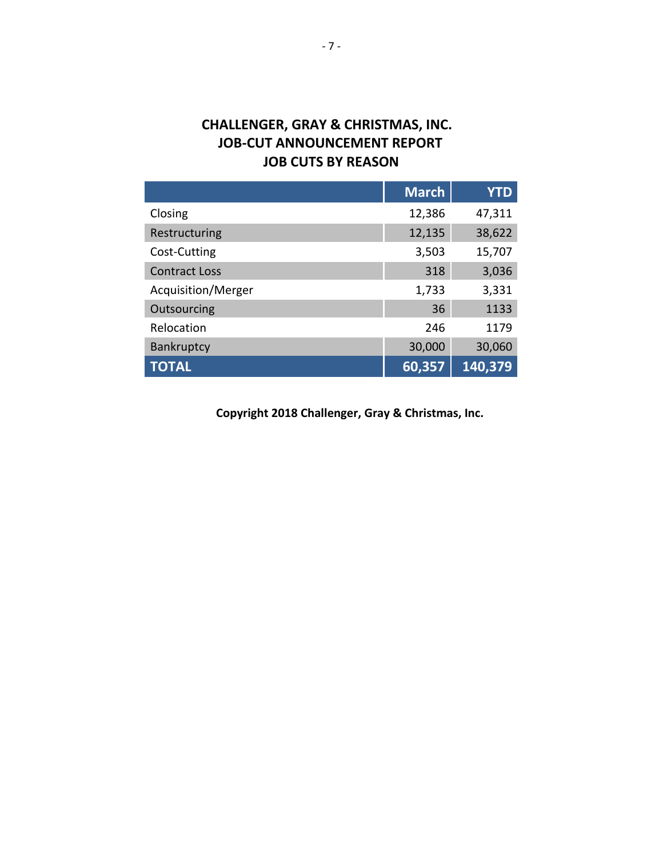# **CHALLENGER, GRAY & CHRISTMAS, INC. JOB-CUT ANNOUNCEMENT REPORT JOB CUTS BY REASON**

|                      | <b>March</b> | <b>YTD</b> |
|----------------------|--------------|------------|
| Closing              | 12,386       | 47,311     |
| Restructuring        | 12,135       | 38,622     |
| Cost-Cutting         | 3,503        | 15,707     |
| <b>Contract Loss</b> | 318          | 3,036      |
| Acquisition/Merger   | 1,733        | 3,331      |
| Outsourcing          | 36           | 1133       |
| Relocation           | 246          | 1179       |
| Bankruptcy           | 30,000       | 30,060     |
| <b>TOTAL</b>         | 60,357       | 140,379    |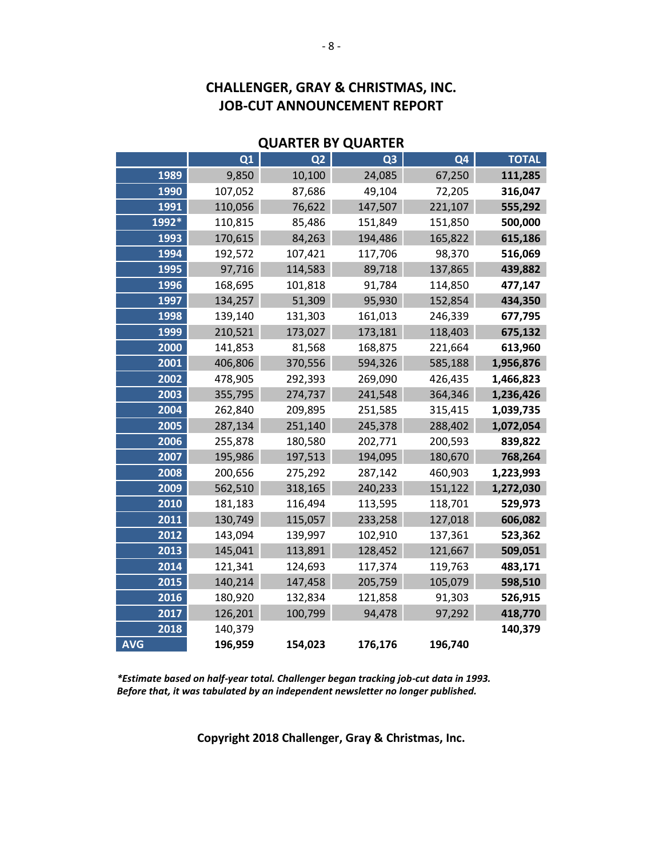# **CHALLENGER, GRAY & CHRISTMAS, INC. JOB-CUT ANNOUNCEMENT REPORT**

#### **QUARTER BY QUARTER**

|            | Q1      | Q <sub>2</sub> | Q <sub>3</sub> | Q <sub>4</sub> | <b>TOTAL</b> |
|------------|---------|----------------|----------------|----------------|--------------|
| 1989       | 9,850   | 10,100         | 24,085         | 67,250         | 111,285      |
| 1990       | 107,052 | 87,686         | 49,104         | 72,205         | 316,047      |
| 1991       | 110,056 | 76,622         | 147,507        | 221,107        | 555,292      |
| 1992*      | 110,815 | 85,486         | 151,849        | 151,850        | 500,000      |
| 1993       | 170,615 | 84,263         | 194,486        | 165,822        | 615,186      |
| 1994       | 192,572 | 107,421        | 117,706        | 98,370         | 516,069      |
| 1995       | 97,716  | 114,583        | 89,718         | 137,865        | 439,882      |
| 1996       | 168,695 | 101,818        | 91,784         | 114,850        | 477,147      |
| 1997       | 134,257 | 51,309         | 95,930         | 152,854        | 434,350      |
| 1998       | 139,140 | 131,303        | 161,013        | 246,339        | 677,795      |
| 1999       | 210,521 | 173,027        | 173,181        | 118,403        | 675,132      |
| 2000       | 141,853 | 81,568         | 168,875        | 221,664        | 613,960      |
| 2001       | 406,806 | 370,556        | 594,326        | 585,188        | 1,956,876    |
| 2002       | 478,905 | 292,393        | 269,090        | 426,435        | 1,466,823    |
| 2003       | 355,795 | 274,737        | 241,548        | 364,346        | 1,236,426    |
| 2004       | 262,840 | 209,895        | 251,585        | 315,415        | 1,039,735    |
| 2005       | 287,134 | 251,140        | 245,378        | 288,402        | 1,072,054    |
| 2006       | 255,878 | 180,580        | 202,771        | 200,593        | 839,822      |
| 2007       | 195,986 | 197,513        | 194,095        | 180,670        | 768,264      |
| 2008       | 200,656 | 275,292        | 287,142        | 460,903        | 1,223,993    |
| 2009       | 562,510 | 318,165        | 240,233        | 151,122        | 1,272,030    |
| 2010       | 181,183 | 116,494        | 113,595        | 118,701        | 529,973      |
| 2011       | 130,749 | 115,057        | 233,258        | 127,018        | 606,082      |
| 2012       | 143,094 | 139,997        | 102,910        | 137,361        | 523,362      |
| 2013       | 145,041 | 113,891        | 128,452        | 121,667        | 509,051      |
| 2014       | 121,341 | 124,693        | 117,374        | 119,763        | 483,171      |
| 2015       | 140,214 | 147,458        | 205,759        | 105,079        | 598,510      |
| 2016       | 180,920 | 132,834        | 121,858        | 91,303         | 526,915      |
| 2017       | 126,201 | 100,799        | 94,478         | 97,292         | 418,770      |
| 2018       | 140,379 |                |                |                | 140,379      |
| <b>AVG</b> | 196,959 | 154,023        | 176,176        | 196,740        |              |

*\*Estimate based on half-year total. Challenger began tracking job-cut data in 1993. Before that, it was tabulated by an independent newsletter no longer published.*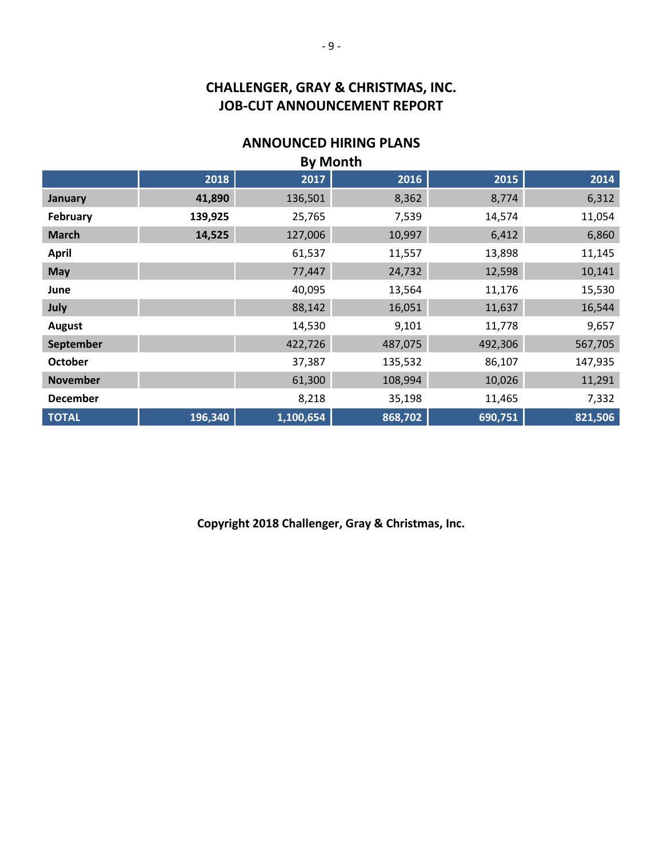# **CHALLENGER, GRAY & CHRISTMAS, INC. JOB-CUT ANNOUNCEMENT REPORT**

### **ANNOUNCED HIRING PLANS**

| <b>By Month</b> |         |           |         |         |         |
|-----------------|---------|-----------|---------|---------|---------|
|                 | 2018    | 2017      | 2016    | 2015    | 2014    |
| <b>January</b>  | 41,890  | 136,501   | 8,362   | 8,774   | 6,312   |
| February        | 139,925 | 25,765    | 7,539   | 14,574  | 11,054  |
| <b>March</b>    | 14,525  | 127,006   | 10,997  | 6,412   | 6,860   |
| <b>April</b>    |         | 61,537    | 11,557  | 13,898  | 11,145  |
| <b>May</b>      |         | 77,447    | 24,732  | 12,598  | 10,141  |
| June            |         | 40,095    | 13,564  | 11,176  | 15,530  |
| July            |         | 88,142    | 16,051  | 11,637  | 16,544  |
| <b>August</b>   |         | 14,530    | 9,101   | 11,778  | 9,657   |
| September       |         | 422,726   | 487,075 | 492,306 | 567,705 |
| <b>October</b>  |         | 37,387    | 135,532 | 86,107  | 147,935 |
| <b>November</b> |         | 61,300    | 108,994 | 10,026  | 11,291  |
| <b>December</b> |         | 8,218     | 35,198  | 11,465  | 7,332   |
| <b>TOTAL</b>    | 196,340 | 1,100,654 | 868,702 | 690,751 | 821,506 |